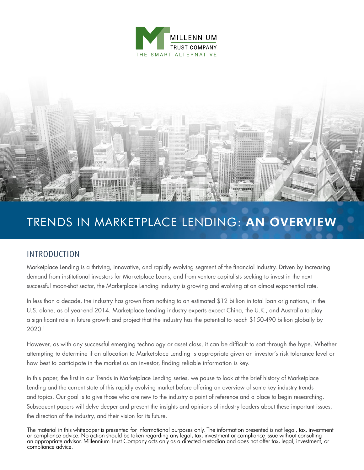



## TRENDS IN MARKETPLACE LENDING: AN OVERVIEW

## INTRODUCTION

Marketplace Lending is a thriving, innovative, and rapidly evolving segment of the financial industry. Driven by increasing demand from institutional investors for Marketplace Loans, and from venture capitalists seeking to invest in the next successful moon-shot sector, the Marketplace Lending industry is growing and evolving at an almost exponential rate.

In less than a decade, the industry has grown from nothing to an estimated \$12 billion in total loan originations, in the U.S. alone, as of year-end 2014. Marketplace Lending industry experts expect China, the U.K., and Australia to play a significant role in future growth and project that the industry has the potential to reach \$150-490 billion globally by 2020.1

However, as with any successful emerging technology or asset class, it can be difficult to sort through the hype. Whether attempting to determine if an allocation to Marketplace Lending is appropriate given an investor's risk tolerance level or how best to participate in the market as an investor, finding reliable information is key.

In this paper, the first in our Trends in Marketplace Lending series, we pause to look at the brief history of Marketplace Lending and the current state of this rapidly evolving market before offering an overview of some key industry trends and topics. Our goal is to give those who are new to the industry a point of reference and a place to begin researching. Subsequent papers will delve deeper and present the insights and opinions of industry leaders about these important issues, the direction of the industry, and their vision for its future.

The material in this whitepaper is presented for informational purposes only. The information presented is not legal, tax, investment or compliance advice. No action should be taken regarding any legal, tax, investment or compliance issue without consulting an appropriate advisor. Millennium Trust Company acts only as a directed custodian and does not offer tax, legal, investment, or compliance advice.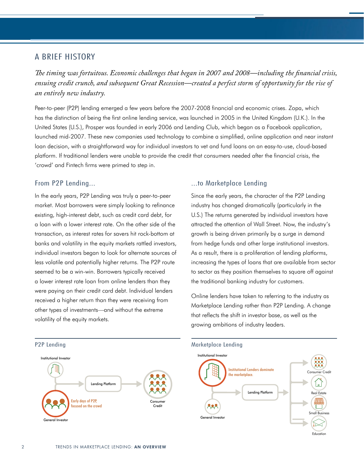### A BRIEF HISTORY

*The timing was fortuitous. Economic challenges that began in 2007 and 2008—including the financial crisis, ensuing credit crunch, and subsequent Great Recession—created a perfect storm of opportunity for the rise of an entirely new industry.*

Peer-to-peer (P2P) lending emerged a few years before the 2007-2008 financial and economic crises. Zopa, which has the distinction of being the first online lending service, was launched in 2005 in the United Kingdom (U.K.). In the United States (U.S.), Prosper was founded in early 2006 and Lending Club, which began as a Facebook application, launched mid-2007. These new companies used technology to combine a simplified, online application and near instant loan decision, with a straightforward way for individual investors to vet and fund loans on an easy-to-use, cloud-based platform. If traditional lenders were unable to provide the credit that consumers needed after the financial crisis, the 'crowd' and Fintech firms were primed to step in.

#### From P2P Lending...

In the early years, P2P Lending was truly a peer-to-peer market. Most borrowers were simply looking to refinance existing, high-interest debt, such as credit card debt, for a loan with a lower interest rate. On the other side of the transaction, as interest rates for savers hit rock-bottom at banks and volatility in the equity markets rattled investors, individual investors began to look for alternate sources of less volatile and potentially higher returns. The P2P route seemed to be a win-win. Borrowers typically received a lower interest rate loan from online lenders than they were paying on their credit card debt. Individual lenders received a higher return than they were receiving from other types of investments—and without the extreme volatility of the equity markets.

#### ...to Marketplace Lending

Since the early years, the character of the P2P Lending industry has changed dramatically (particularly in the U.S.) The returns generated by individual investors have attracted the attention of Wall Street. Now, the industry's growth is being driven primarily by a surge in demand from hedge funds and other large institutional investors. As a result, there is a proliferation of lending platforms, increasing the types of loans that are available from sector to sector as they position themselves to square off against the traditional banking industry for customers.

Online lenders have taken to referring to the industry as Marketplace Lending rather than P2P Lending. A change that reflects the shift in investor base, as well as the growing ambitions of industry leaders.



Education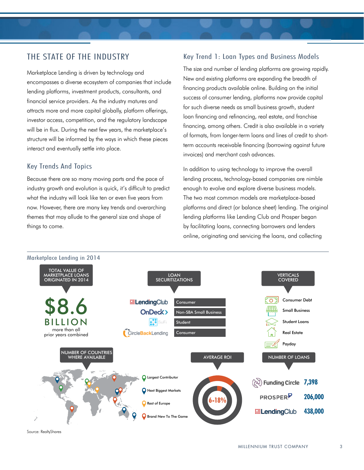## THE STATE OF THE INDUSTRY

Marketplace Lending is driven by technology and encompasses a diverse ecosystem of companies that include lending platforms, investment products, consultants, and financial service providers. As the industry matures and attracts more and more capital globally, platform offerings, investor access, competition, and the regulatory landscape will be in flux. During the next few years, the marketplace's structure will be informed by the ways in which these pieces interact and eventually settle into place.

#### Key Trends And Topics

Because there are so many moving parts and the pace of industry growth and evolution is quick, it's difficult to predict what the industry will look like ten or even five years from now. However, there are many key trends and overarching themes that may allude to the general size and shape of things to come.

#### Key Trend 1: Loan Types and Business Models

The size and number of lending platforms are growing rapidly. New and existing platforms are expanding the breadth of financing products available online. Building on the initial success of consumer lending, platforms now provide capital for such diverse needs as small business growth, student loan financing and refinancing, real estate, and franchise financing, among others. Credit is also available in a variety of formats, from longer-term loans and lines of credit to shortterm accounts receivable financing (borrowing against future invoices) and merchant cash advances.

In addition to using technology to improve the overall lending process, technology-based companies are nimble enough to evolve and explore diverse business models. The two most common models are marketplace-based platforms and direct (or balance sheet) lending. The original lending platforms like Lending Club and Prosper began by facilitating loans, connecting borrowers and lenders online, originating and servicing the loans, and collecting



Source: RealtyShares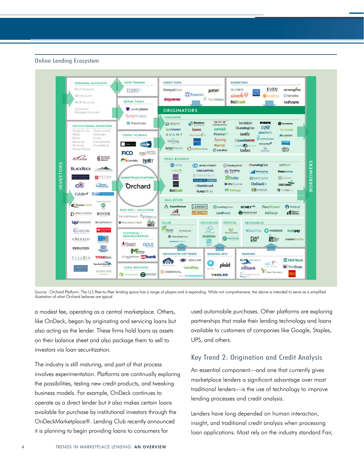#### Online Lending Ecosystem



Source: Orchard Platform. The U.S Peer-to-Peer lending space has a range of players and is expanding. While not comprehensive, the above is intended to serve as a simplified illustration of what Orchard believes are typical

a modest fee, operating as a central marketplace. Others, like OnDeck, began by originating and servicing loans but also acting as the lender. These firms hold loans as assets on their balance sheet and also package them to sell to investors via loan securitization.

The industry is still maturing, and part of that process involves experimentation. Platforms are continually exploring the possibilities, testing new credit products, and tweaking business models. For example, OnDeck continues to operate as a direct lender but it also makes certain loans available for purchase by institutional investors through the OnDeckMarketplace®. Lending Club recently announced it is planning to begin providing loans to consumers for

used automobile purchases. Other platforms are exploring partnerships that make their lending technology and loans available to customers of companies like Google, Staples, UPS, and others.

#### Key Trend 2: Origination and Credit Analysis

An essential component—and one that currently gives marketplace lenders a significant advantage over most traditional lenders—is the use of technology to improve lending processes and credit analysis.

Lenders have long depended on human interaction, insight, and traditional credit analysis when processing loan applications. Most rely on the industry standard Fair,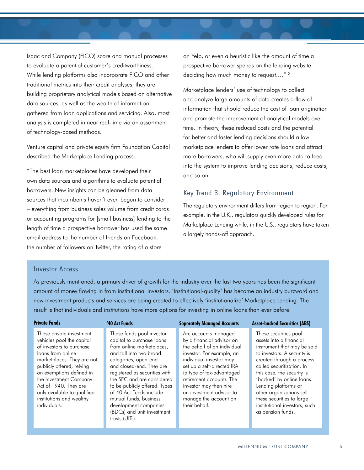Isaac and Company (FICO) score and manual processes to evaluate a potential customer's creditworthiness. While lending platforms also incorporate FICO and other traditional metrics into their credit analyses, they are building proprietary analytical models based on alternative data sources, as well as the wealth of information gathered from loan applications and servicing. Also, most analysis is completed in near real-time via an assortment of technology-based methods.

Venture capital and private equity firm Foundation Capital described the Marketplace Lending process:

"The best loan marketplaces have developed their own data sources and algorithms to evaluate potential borrowers. New insights can be gleaned from data sources that incumbents haven't even begun to consider – everything from business sales volume from credit cards or accounting programs for [small business] lending to the length of time a prospective borrower has used the same email address to the number of friends on Facebook, the number of followers on Twitter, the rating of a store

on Yelp, or even a heuristic like the amount of time a prospective borrower spends on the lending website deciding how much money to request...."<sup>2</sup>

Marketplace lenders' use of technology to collect and analyze large amounts of data creates a flow of information that should reduce the cost of loan origination and promote the improvement of analytical models over time. In theory, these reduced costs and the potential for better and faster lending decisions should allow marketplace lenders to offer lower rate loans and attract more borrowers, who will supply even more data to feed into the system to improve lending decisions, reduce costs, and so on.

#### Key Trend 3: Regulatory Environment

The regulatory environment differs from region to region. For example, in the U.K., regulators quickly developed rules for Marketplace Lending while, in the U.S., regulators have taken a largely hands-off approach.

#### Investor Access

As previously mentioned, a primary driver of growth for the industry over the last two years has been the significant amount of money flowing in from institutional investors. 'Institutional-quality' has become an industry buzzword and new investment products and services are being created to effectively 'institutionalize' Marketplace Lending. The result is that individuals and institutions have more options for investing in online loans than ever before.

| <b>Private Funds</b>                                                                                                                                                                                                                                                                                                        | '40 Act Funds                                                                                                                                                                                                                                                                                                                                                                                    | <b>Seperately Managed Accounts</b>                                                                                                                                                                                                                                                                                              | <b>Asset-backed Securities (ABS)</b>                                                                                                                                                                                                                                                                                                                                       |
|-----------------------------------------------------------------------------------------------------------------------------------------------------------------------------------------------------------------------------------------------------------------------------------------------------------------------------|--------------------------------------------------------------------------------------------------------------------------------------------------------------------------------------------------------------------------------------------------------------------------------------------------------------------------------------------------------------------------------------------------|---------------------------------------------------------------------------------------------------------------------------------------------------------------------------------------------------------------------------------------------------------------------------------------------------------------------------------|----------------------------------------------------------------------------------------------------------------------------------------------------------------------------------------------------------------------------------------------------------------------------------------------------------------------------------------------------------------------------|
| These private investment<br>vehicles pool the capital<br>of investors to purchase<br>loans from online<br>marketplaces. They are not<br>publicly offered; relying<br>on exemptions defined in<br>the Investment Company<br>Act of 1940. They are<br>only available to qualified<br>institutions and wealthy<br>individuals. | These funds pool investor<br>capital to purchase loans<br>from online marketplaces,<br>and fall into two broad<br>categories, open-end<br>and closed-end. They are<br>registered as securities with<br>the SEC and are considered<br>to be publicly offered. Types<br>of 40 Act Funds include<br>mutual funds, business<br>development companies<br>(BDCs) and unit investment<br>trusts (UITs). | Are accounts managed<br>by a financial advisor on<br>the behalf of an individual<br>investor. For example, an<br>individual investor may<br>set up a self-directed IRA<br>(a type of tax-advantaged<br>retirement account). The<br>investor may then hire<br>an investment advisor to<br>manage the account on<br>their behalf. | These securities pool<br>assets into a financial<br>instrument that may be sold<br>to investors. A security is<br>created through a process<br>called securitization. In<br>this case, the security is<br>'backed' by online loans.<br>Lending platforms or<br>other organizations sell<br>these securities to large<br>institutional investors, such<br>as pension funds. |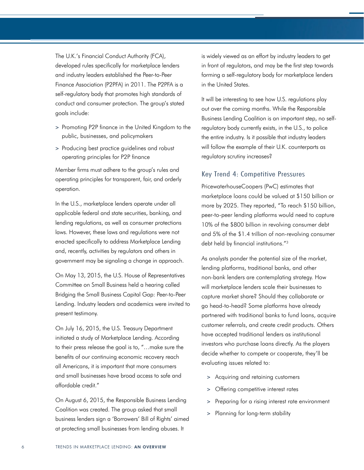The U.K.'s Financial Conduct Authority (FCA), developed rules specifically for marketplace lenders and industry leaders established the Peer-to-Peer Finance Association (P2PFA) in 2011. The P2PFA is a self-regulatory body that promotes high standards of conduct and consumer protection. The group's stated goals include:

- > Promoting P2P finance in the United Kingdom to the public, businesses, and policymakers
- > Producing best practice guidelines and robust operating principles for P2P finance

Member firms must adhere to the group's rules and operating principles for transparent, fair, and orderly operation.

In the U.S., marketplace lenders operate under all applicable federal and state securities, banking, and lending regulations, as well as consumer protections laws. However, these laws and regulations were not enacted specifically to address Marketplace Lending and, recently, activities by regulators and others in government may be signaling a change in approach.

On May 13, 2015, the U.S. House of Representatives Committee on Small Business held a hearing called Bridging the Small Business Capital Gap: Peer-to-Peer Lending. Industry leaders and academics were invited to present testimony.

On July 16, 2015, the U.S. Treasury Department initiated a study of Marketplace Lending. According to their press release the goal is to, "…make sure the benefits of our continuing economic recovery reach all Americans, it is important that more consumers and small businesses have broad access to safe and affordable credit."

On August 6, 2015, the Responsible Business Lending Coalition was created. The group asked that small business lenders sign a 'Borrowers' Bill of Rights' aimed at protecting small businesses from lending abuses. It

is widely viewed as an effort by industry leaders to get in front of regulators, and may be the first step towards forming a self-regulatory body for marketplace lenders in the United States.

It will be interesting to see how U.S. regulations play out over the coming months. While the Responsible Business Lending Coalition is an important step, no selfregulatory body currently exists, in the U.S., to police the entire industry. Is it possible that industry leaders will follow the example of their U.K. counterparts as regulatory scrutiny increases?

#### Key Trend 4: Competitive Pressures

PricewaterhouseCoopers (PwC) estimates that marketplace loans could be valued at \$150 billion or more by 2025. They reported, "To reach \$150 billion, peer-to-peer lending platforms would need to capture 10% of the \$800 billion in revolving consumer debt and 5% of the \$1.4 trillion of non-revolving consumer debt held by financial institutions."<sup>3</sup>

As analysts ponder the potential size of the market, lending platforms, traditional banks, and other non-bank lenders are contemplating strategy. How will marketplace lenders scale their businesses to capture market share? Should they collaborate or go head-to-head? Some platforms have already partnered with traditional banks to fund loans, acquire customer referrals, and create credit products. Others have accepted traditional lenders as institutional investors who purchase loans directly. As the players decide whether to compete or cooperate, they'll be evaluating issues related to:

- > Acquiring and retaining customers
- > Offering competitive interest rates
- > Preparing for a rising interest rate environment
- > Planning for long-term stability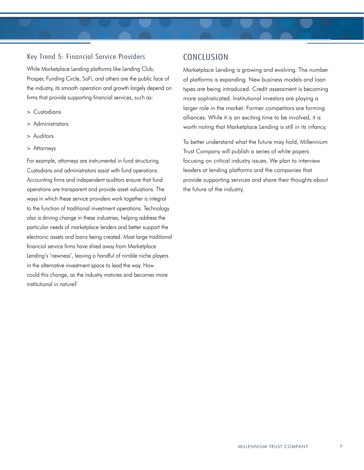#### Key Trend 5: Financial Service Providers

While Marketplace Lending platforms like Lending Club, Prosper, Funding Circle, SoFi, and others are the public face of the industry, its smooth operation and growth largely depend on firms that provide supporting financial services, such as:

- > Custodians
- > Administrators
- > Auditors
- > Attorneys

For example, attorneys are instrumental in fund structuring. Custodians and administrators assist with fund operations. Accounting firms and independent auditors ensure that fund operations are transparent and provide asset valuations. The ways in which these service providers work together is integral to the function of traditional investment operations. Technology also is driving change in these industries, helping address the particular needs of marketplace lenders and better support the electronic assets and loans being created. Most large traditional financial service firms have shied away from Marketplace Lending's 'newness', leaving a handful of nimble niche players in the alternative investment space to lead the way. How could this change, as the industry matures and becomes more institutional in nature?

## **CONCLUSION**

Marketplace Lending is growing and evolving. The number of platforms is expanding. New business models and loan types are being introduced. Credit assessment is becoming more sophisticated. Institutional investors are playing a larger role in the market. Former competitors are forming alliances. While it is an exciting time to be involved, it is worth noting that Marketplace Lending is still in its infancy.

To better understand what the future may hold, Millennium Trust Company will publish a series of white papers focusing on critical industry issues. We plan to interview leaders at lending platforms and the companies that provide supporting services and share their thoughts about the future of the industry.